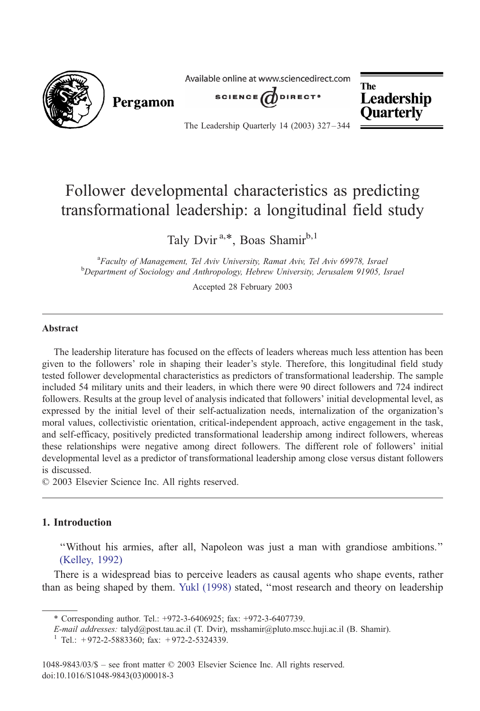

## Follower developmental characteristics as predicting transformational leadership: a longitudinal field study

Taly Dvir<sup>a,\*</sup>, Boas Shamir<sup>b,1</sup>

<sup>a</sup> Faculty of Management, Tel Aviv University, Ramat Aviv, Tel Aviv 69978, Israel<br><sup>b</sup> Denartment of Sociology and Anthropology, Hobrow University, Jerusalam 01005, Israel Department of Sociology and Anthropology, Hebrew University, Jerusalem 91905, Israel

Accepted 28 February 2003

#### Abstract

The leadership literature has focused on the effects of leaders whereas much less attention has been given to the followers' role in shaping their leader's style. Therefore, this longitudinal field study tested follower developmental characteristics as predictors of transformational leadership. The sample included 54 military units and their leaders, in which there were 90 direct followers and 724 indirect followers. Results at the group level of analysis indicated that followers' initial developmental level, as expressed by the initial level of their self-actualization needs, internalization of the organization's moral values, collectivistic orientation, critical-independent approach, active engagement in the task, and self-efficacy, positively predicted transformational leadership among indirect followers, whereas these relationships were negative among direct followers. The different role of followers' initial developmental level as a predictor of transformational leadership among close versus distant followers is discussed.

 $© 2003 Elsevier Science Inc. All rights reserved.$ 

## 1. Introduction

''Without his armies, after all, Napoleon was just a man with grandiose ambitions.'' [\(Kelley, 19](#page--1-0)92)

There is a widespread bias to perceive leaders as causal agents who shape events, rather than as being shaped by them. [Yukl \(1998\)](#page--1-0) stated, ''most research and theory on leadership

<sup>\*</sup> Corresponding author. Tel.: +972-3-6406925; fax: +972-3-6407739.

E-mail addresses: talyd@post.tau.ac.il (T. Dvir), msshamir@pluto.mscc.huji.ac.il (B. Shamir).<br><sup>1</sup> Tel.: +972-2-5883360; fax: +972-2-5324339.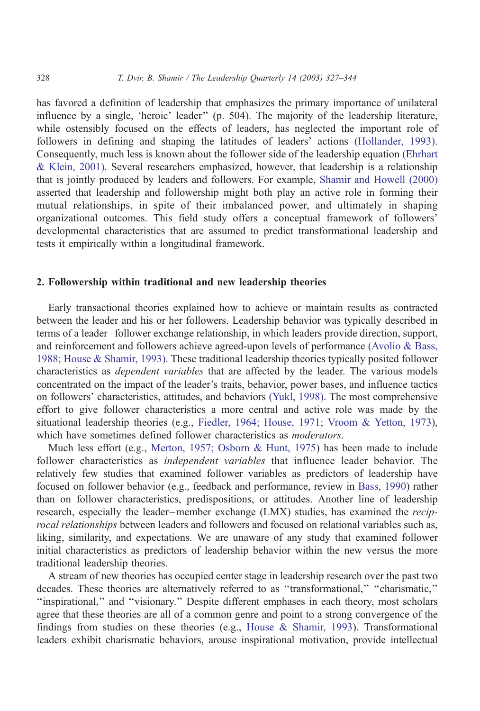has favored a definition of leadership that emphasizes the primary importance of unilateral influence by a single, 'heroic' leader'' (p. 504). The majority of the leadership literature, while ostensibly focused on the effects of leaders, has neglected the important role of followers in defining and shaping the latitudes of leaders' actions [\(Hollander, 1993\).](#page--1-0) Consequently, much less is known about the follower side of the leadership equation [\(Ehrhart](#page--1-0) & Klein, 2001). Several researchers emphasized, however, that leadership is a relationship that is jointly produced by leaders and followers. For example, [Shamir and Howell \(2000\)](#page--1-0) asserted that leadership and followership might both play an active role in forming their mutual relationships, in spite of their imbalanced power, and ultimately in shaping organizational outcomes. This field study offers a conceptual framework of followers' developmental characteristics that are assumed to predict transformational leadership and tests it empirically within a longitudinal framework.

### 2. Followership within traditional and new leadership theories

Early transactional theories explained how to achieve or maintain results as contracted between the leader and his or her followers. Leadership behavior was typically described in terms of a leader– follower exchange relationship, in which leaders provide direction, support, and reinforcement and followers achieve agreed-upon levels of performance [\(Avolio & Bass,](#page--1-0) 1988; House & Shamir, 1993). These traditional leadership theories typically posited follower characteristics as dependent variables that are affected by the leader. The various models concentrated on the impact of the leader's traits, behavior, power bases, and influence tactics on followers' characteristics, attitudes, and behaviors [\(Yukl, 1998\).](#page--1-0) The most comprehensive effort to give follower characteristics a more central and active role was made by the situational leadership theories (e.g., [Fiedler, 1964; House, 1971; Vroom & Yetton, 1973\)](#page--1-0), which have sometimes defined follower characteristics as *moderators*.

Much less effort (e.g., [Merton, 1957; Osborn & Hunt, 1975\)](#page--1-0) has been made to include follower characteristics as independent variables that influence leader behavior. The relatively few studies that examined follower variables as predictors of leadership have focused on follower behavior (e.g., feedback and performance, review in [Bass, 1990\)](#page--1-0) rather than on follower characteristics, predispositions, or attitudes. Another line of leadership research, especially the leader–member exchange (LMX) studies, has examined the reciprocal relationships between leaders and followers and focused on relational variables such as, liking, similarity, and expectations. We are unaware of any study that examined follower initial characteristics as predictors of leadership behavior within the new versus the more traditional leadership theories.

A stream of new theories has occupied center stage in leadership research over the past two decades. These theories are alternatively referred to as ''transformational,'' ''charismatic,'' ''inspirational,'' and ''visionary.'' Despite different emphases in each theory, most scholars agree that these theories are all of a common genre and point to a strong convergence of the findings from studies on these theories (e.g., House  $\&$  Shamir, 1993). Transformational leaders exhibit charismatic behaviors, arouse inspirational motivation, provide intellectual